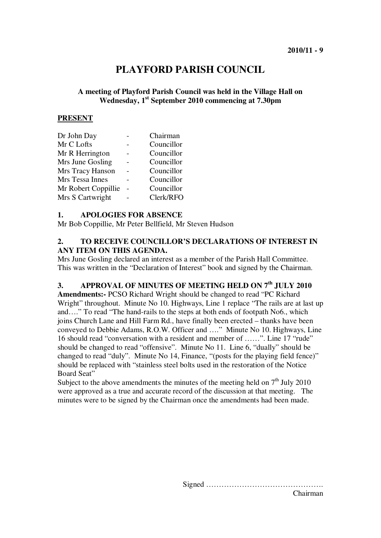# **PLAYFORD PARISH COUNCIL**

### **A meeting of Playford Parish Council was held in the Village Hall on Wednesday, 1st September 2010 commencing at 7.30pm**

#### **PRESENT**

| Chairman   |
|------------|
| Councillor |
| Councillor |
| Councillor |
| Councillor |
| Councillor |
| Councillor |
| Clerk/RFO  |
|            |

#### **1. APOLOGIES FOR ABSENCE**

Mr Bob Coppillie, Mr Peter Bellfield, Mr Steven Hudson

### **2. TO RECEIVE COUNCILLOR'S DECLARATIONS OF INTEREST IN ANY ITEM ON THIS AGENDA.**

Mrs June Gosling declared an interest as a member of the Parish Hall Committee. This was written in the "Declaration of Interest" book and signed by the Chairman.

### **3. APPROVAL OF MINUTES OF MEETING HELD ON 7th JULY 2010**

**Amendments:-** PCSO Richard Wright should be changed to read "PC Richard Wright" throughout. Minute No 10. Highways, Line 1 replace "The rails are at last up and…." To read "The hand-rails to the steps at both ends of footpath No6., which joins Church Lane and Hill Farm Rd., have finally been erected – thanks have been conveyed to Debbie Adams, R.O.W. Officer and …." Minute No 10. Highways, Line 16 should read "conversation with a resident and member of ……". Line 17 "rude" should be changed to read "offensive". Minute No 11. Line 6, "dually" should be changed to read "duly". Minute No 14, Finance, "(posts for the playing field fence)" should be replaced with "stainless steel bolts used in the restoration of the Notice Board Seat"

Subject to the above amendments the minutes of the meeting held on  $7<sup>th</sup>$  July 2010 were approved as a true and accurate record of the discussion at that meeting. The minutes were to be signed by the Chairman once the amendments had been made.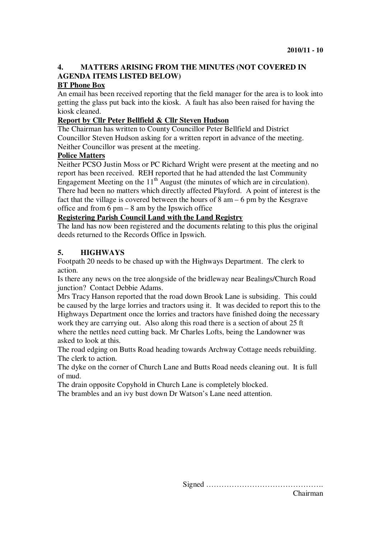## **4. MATTERS ARISING FROM THE MINUTES (NOT COVERED IN AGENDA ITEMS LISTED BELOW)**

#### **BT Phone Box**

An email has been received reporting that the field manager for the area is to look into getting the glass put back into the kiosk. A fault has also been raised for having the kiosk cleaned.

#### **Report by Cllr Peter Bellfield & Cllr Steven Hudson**

The Chairman has written to County Councillor Peter Bellfield and District Councillor Steven Hudson asking for a written report in advance of the meeting. Neither Councillor was present at the meeting.

#### **Police Matters**

Neither PCSO Justin Moss or PC Richard Wright were present at the meeting and no report has been received. REH reported that he had attended the last Community Engagement Meeting on the  $11<sup>th</sup>$  August (the minutes of which are in circulation). There had been no matters which directly affected Playford. A point of interest is the fact that the village is covered between the hours of 8 am – 6 pm by the Kesgrave office and from  $6 \text{ pm} - 8$  am by the Ipswich office

### **Registering Parish Council Land with the Land Registry**

The land has now been registered and the documents relating to this plus the original deeds returned to the Records Office in Ipswich.

### **5. HIGHWAYS**

Footpath 20 needs to be chased up with the Highways Department. The clerk to action.

Is there any news on the tree alongside of the bridleway near Bealings/Church Road junction? Contact Debbie Adams.

Mrs Tracy Hanson reported that the road down Brook Lane is subsiding. This could be caused by the large lorries and tractors using it. It was decided to report this to the Highways Department once the lorries and tractors have finished doing the necessary work they are carrying out. Also along this road there is a section of about 25 ft where the nettles need cutting back. Mr Charles Lofts, being the Landowner was asked to look at this.

The road edging on Butts Road heading towards Archway Cottage needs rebuilding. The clerk to action.

The dyke on the corner of Church Lane and Butts Road needs cleaning out. It is full of mud.

The drain opposite Copyhold in Church Lane is completely blocked.

The brambles and an ivy bust down Dr Watson's Lane need attention.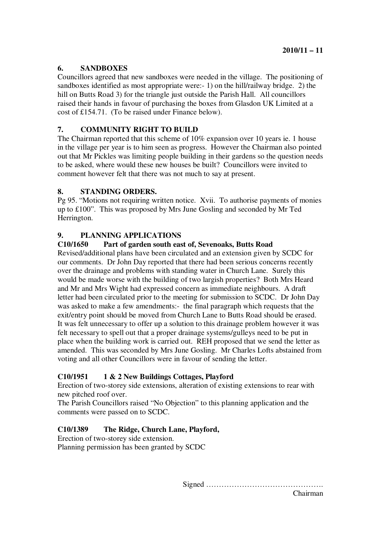### **6. SANDBOXES**

Councillors agreed that new sandboxes were needed in the village. The positioning of sandboxes identified as most appropriate were:- 1) on the hill/railway bridge. 2) the hill on Butts Road 3) for the triangle just outside the Parish Hall. All councillors raised their hands in favour of purchasing the boxes from Glasdon UK Limited at a cost of £154.71. (To be raised under Finance below).

### **7. COMMUNITY RIGHT TO BUILD**

The Chairman reported that this scheme of 10% expansion over 10 years ie. 1 house in the village per year is to him seen as progress. However the Chairman also pointed out that Mr Pickles was limiting people building in their gardens so the question needs to be asked, where would these new houses be built? Councillors were invited to comment however felt that there was not much to say at present.

### **8. STANDING ORDERS.**

Pg 95. "Motions not requiring written notice. Xvii. To authorise payments of monies up to £100". This was proposed by Mrs June Gosling and seconded by Mr Ted Herrington.

### **9. PLANNING APPLICATIONS**

### **C10/1650 Part of garden south east of, Sevenoaks, Butts Road**

Revised/additional plans have been circulated and an extension given by SCDC for our comments. Dr John Day reported that there had been serious concerns recently over the drainage and problems with standing water in Church Lane. Surely this would be made worse with the building of two largish properties? Both Mrs Heard and Mr and Mrs Wight had expressed concern as immediate neighbours. A draft letter had been circulated prior to the meeting for submission to SCDC. Dr John Day was asked to make a few amendments:- the final paragraph which requests that the exit/entry point should be moved from Church Lane to Butts Road should be erased. It was felt unnecessary to offer up a solution to this drainage problem however it was felt necessary to spell out that a proper drainage systems/gulleys need to be put in place when the building work is carried out. REH proposed that we send the letter as amended. This was seconded by Mrs June Gosling. Mr Charles Lofts abstained from voting and all other Councillors were in favour of sending the letter.

### **C10/1951 1 & 2 New Buildings Cottages, Playford**

Erection of two-storey side extensions, alteration of existing extensions to rear with new pitched roof over.

The Parish Councillors raised "No Objection" to this planning application and the comments were passed on to SCDC.

### **C10/1389 The Ridge, Church Lane, Playford,**

Erection of two-storey side extension. Planning permission has been granted by SCDC

Signed ……………………………………….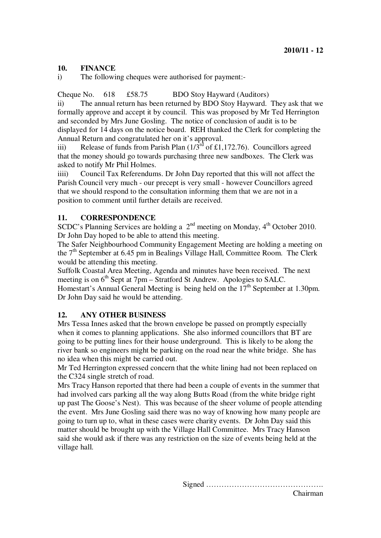### **10. FINANCE**

i) The following cheques were authorised for payment:-

Cheque No. 618 £58.75 BDO Stoy Hayward (Auditors)

ii) The annual return has been returned by BDO Stoy Hayward. They ask that we formally approve and accept it by council. This was proposed by Mr Ted Herrington and seconded by Mrs June Gosling. The notice of conclusion of audit is to be displayed for 14 days on the notice board. REH thanked the Clerk for completing the Annual Return and congratulated her on it's approval.

iii) Release of funds from Parish Plan  $(1/3^{rd}$  of £1,172.76). Councillors agreed that the money should go towards purchasing three new sandboxes. The Clerk was asked to notify Mr Phil Holmes.

iiii) Council Tax Referendums. Dr John Day reported that this will not affect the Parish Council very much - our precept is very small - however Councillors agreed that we should respond to the consultation informing them that we are not in a position to comment until further details are received.

### **11. CORRESPONDENCE**

SCDC's Planning Services are holding a  $2<sup>nd</sup>$  meeting on Monday,  $4<sup>th</sup>$  October 2010. Dr John Day hoped to be able to attend this meeting.

The Safer Neighbourhood Community Engagement Meeting are holding a meeting on the  $7<sup>th</sup>$  September at 6.45 pm in Bealings Village Hall, Committee Room. The Clerk would be attending this meeting.

Suffolk Coastal Area Meeting, Agenda and minutes have been received. The next meeting is on  $6<sup>th</sup>$  Sept at 7pm – Stratford St Andrew. Apologies to SALC.

Homestart's Annual General Meeting is being held on the  $17<sup>th</sup>$  September at 1.30pm. Dr John Day said he would be attending.

### **12. ANY OTHER BUSINESS**

Mrs Tessa Innes asked that the brown envelope be passed on promptly especially when it comes to planning applications. She also informed councillors that BT are going to be putting lines for their house underground. This is likely to be along the river bank so engineers might be parking on the road near the white bridge. She has no idea when this might be carried out.

Mr Ted Herrington expressed concern that the white lining had not been replaced on the C324 single stretch of road.

Mrs Tracy Hanson reported that there had been a couple of events in the summer that had involved cars parking all the way along Butts Road (from the white bridge right up past The Goose's Nest). This was because of the sheer volume of people attending the event. Mrs June Gosling said there was no way of knowing how many people are going to turn up to, what in these cases were charity events. Dr John Day said this matter should be brought up with the Village Hall Committee. Mrs Tracy Hanson said she would ask if there was any restriction on the size of events being held at the village hall.